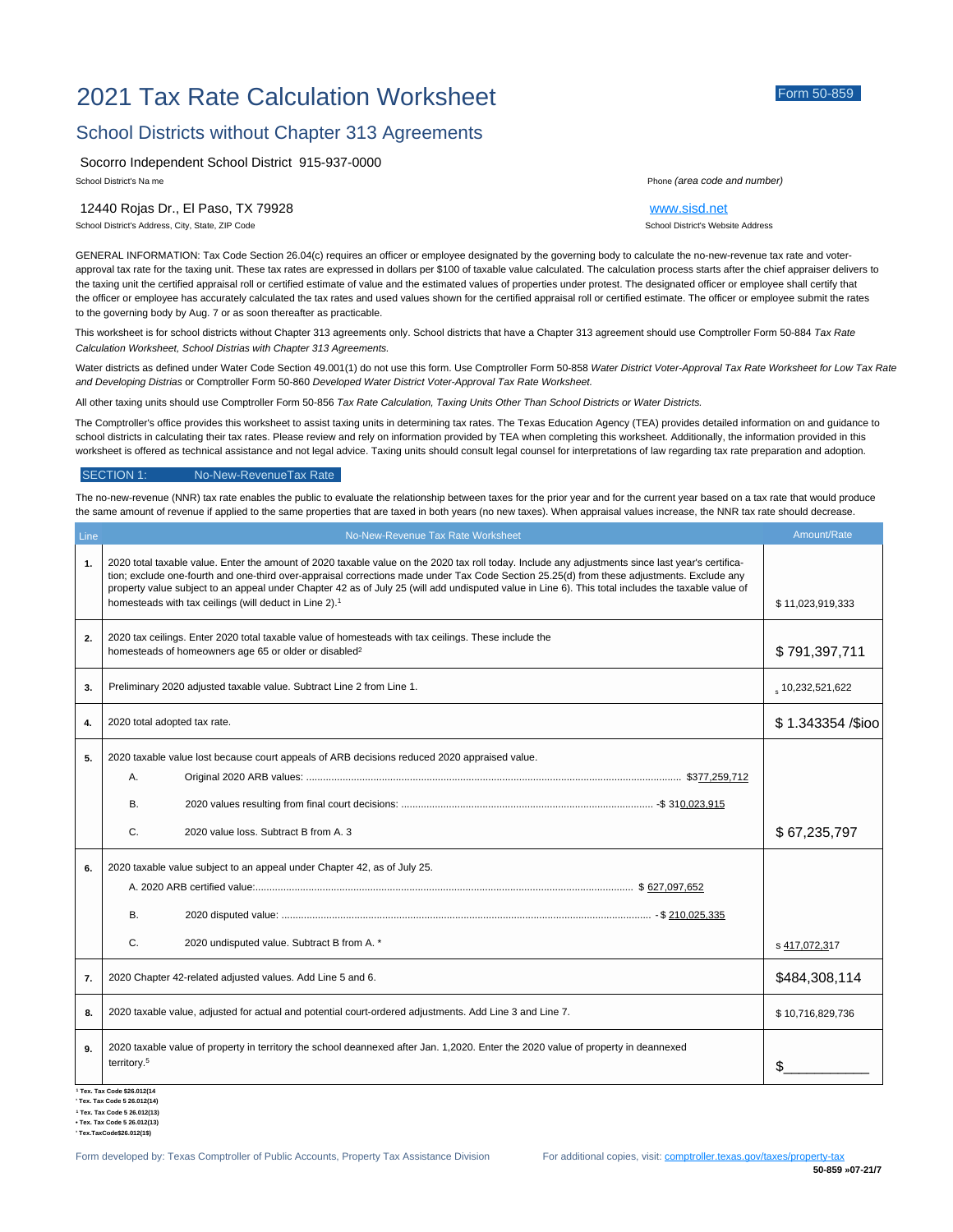# 2021 Tax Rate Calculation Worksheet Form 50-859

## School Districts without Chapter 313 Agreements

Socorro Independent School District 915-937-0000

12440 Rojas Dr., El Paso, TX 79928 [www.sisd.net](http://www.sisd.net)

School District's Address, City, State, ZIP Code School District's Website Address

School District's Na me Phone *(area code and number)*

GENERAL INFORMATION: Tax Code Section 26.04(c) requires an officer or employee designated by the governing body to calculate the no-new-revenue tax rate and voterapproval tax rate for the taxing unit. These tax rates are expressed in dollars per \$100 of taxable value calculated. The calculation process starts after the chief appraiser delivers to the taxing unit the certified appraisal roll or certified estimate of value and the estimated values of properties under protest. The designated officer or employee shall certify that the officer or employee has accurately calculated the tax rates and used values shown for the certified appraisal roll or certified estimate. The officer or employee submit the rates to the governing body by Aug. 7 or as soon thereafter as practicable.

This worksheet is for school districts without Chapter 313 agreements only. School districts that have a Chapter 313 agreement should use Comptroller Form 50-884 *Tax Rate Calculation Worksheet, School Distrias with Chapter 313 Agreements.*

Water districts as defined under Water Code Section 49.001(1) do not use this form. Use Comptroller Form 50-858 *Water District Voter-Approval Tax Rate Worksheet for Low Tax Rate and Developing Distrias* or Comptroller Form 50-860 *Developed Water District Voter-Approval Tax Rate Worksheet.*

All other taxing units should use Comptroller Form 50-856 *Tax Rate Calculation, Taxing Units Other Than School Districts or Water Districts.*

The Comptroller's office provides this worksheet to assist taxing units in determining tax rates. The Texas Education Agency (TEA) provides detailed information on and guidance to school districts in calculating their tax rates. Please review and rely on information provided by TEA when completing this worksheet. Additionally, the information provided in this worksheet is offered as technical assistance and not legal advice. Taxing units should consult legal counsel for interpretations of law regarding tax rate preparation and adoption.

#### SECTION 1: No-New-RevenueTax Rate

The no-new-revenue (NNR) tax rate enables the public to evaluate the relationship between taxes for the prior year and for the current year based on a tax rate that would produce the same amount of revenue if applied to the same properties that are taxed in both years (no new taxes). When appraisal values increase, the NNR tax rate should decrease.

| Line           | No-New-Revenue Tax Rate Worksheet                                                                                                                                                                                                                                                                                                                                                                                                                                                                                           | Amount/Rate               |
|----------------|-----------------------------------------------------------------------------------------------------------------------------------------------------------------------------------------------------------------------------------------------------------------------------------------------------------------------------------------------------------------------------------------------------------------------------------------------------------------------------------------------------------------------------|---------------------------|
| $\mathbf{1}$ . | 2020 total taxable value. Enter the amount of 2020 taxable value on the 2020 tax roll today. Include any adjustments since last year's certifica-<br>tion; exclude one-fourth and one-third over-appraisal corrections made under Tax Code Section 25.25(d) from these adjustments. Exclude any<br>property value subject to an appeal under Chapter 42 as of July 25 (will add undisputed value in Line 6). This total includes the taxable value of<br>homesteads with tax ceilings (will deduct in Line 2). <sup>1</sup> | \$11,023,919,333          |
| 2.             | 2020 tax ceilings. Enter 2020 total taxable value of homesteads with tax ceilings. These include the<br>homesteads of homeowners age 65 or older or disabled <sup>2</sup>                                                                                                                                                                                                                                                                                                                                                   | \$791,397,711             |
| 3.             | Preliminary 2020 adjusted taxable value. Subtract Line 2 from Line 1.                                                                                                                                                                                                                                                                                                                                                                                                                                                       | $_{\circ}$ 10,232,521,622 |
| 4.             | 2020 total adopted tax rate.                                                                                                                                                                                                                                                                                                                                                                                                                                                                                                | \$1.343354 /\$ioo         |
| 5.             | 2020 taxable value lost because court appeals of ARB decisions reduced 2020 appraised value.<br>Α.<br>B.                                                                                                                                                                                                                                                                                                                                                                                                                    |                           |
|                | C.<br>2020 value loss. Subtract B from A. 3                                                                                                                                                                                                                                                                                                                                                                                                                                                                                 | \$67,235,797              |
| 6.             | 2020 taxable value subject to an appeal under Chapter 42, as of July 25.<br><b>B.</b>                                                                                                                                                                                                                                                                                                                                                                                                                                       |                           |
|                | C.<br>2020 undisputed value. Subtract B from A. *                                                                                                                                                                                                                                                                                                                                                                                                                                                                           | s 417,072,317             |
| 7.             | 2020 Chapter 42-related adjusted values. Add Line 5 and 6.                                                                                                                                                                                                                                                                                                                                                                                                                                                                  | \$484,308,114             |
| 8.             | 2020 taxable value, adjusted for actual and potential court-ordered adjustments. Add Line 3 and Line 7.                                                                                                                                                                                                                                                                                                                                                                                                                     | \$10,716,829,736          |
| 9.             | 2020 taxable value of property in territory the school deannexed after Jan. 1,2020. Enter the 2020 value of property in deannexed<br>territory. <sup>5</sup>                                                                                                                                                                                                                                                                                                                                                                | \$                        |

**1 Tex. Tax Code \$26.012(14 ' Tex. Tax Code 5 26.012(14)**

**1 Tex. Tax Code 5 26.012(13)**

**• Tex. Tax Code 5 26.012(13)**

**' Tex.TaxCode\$26.012(1\$)**

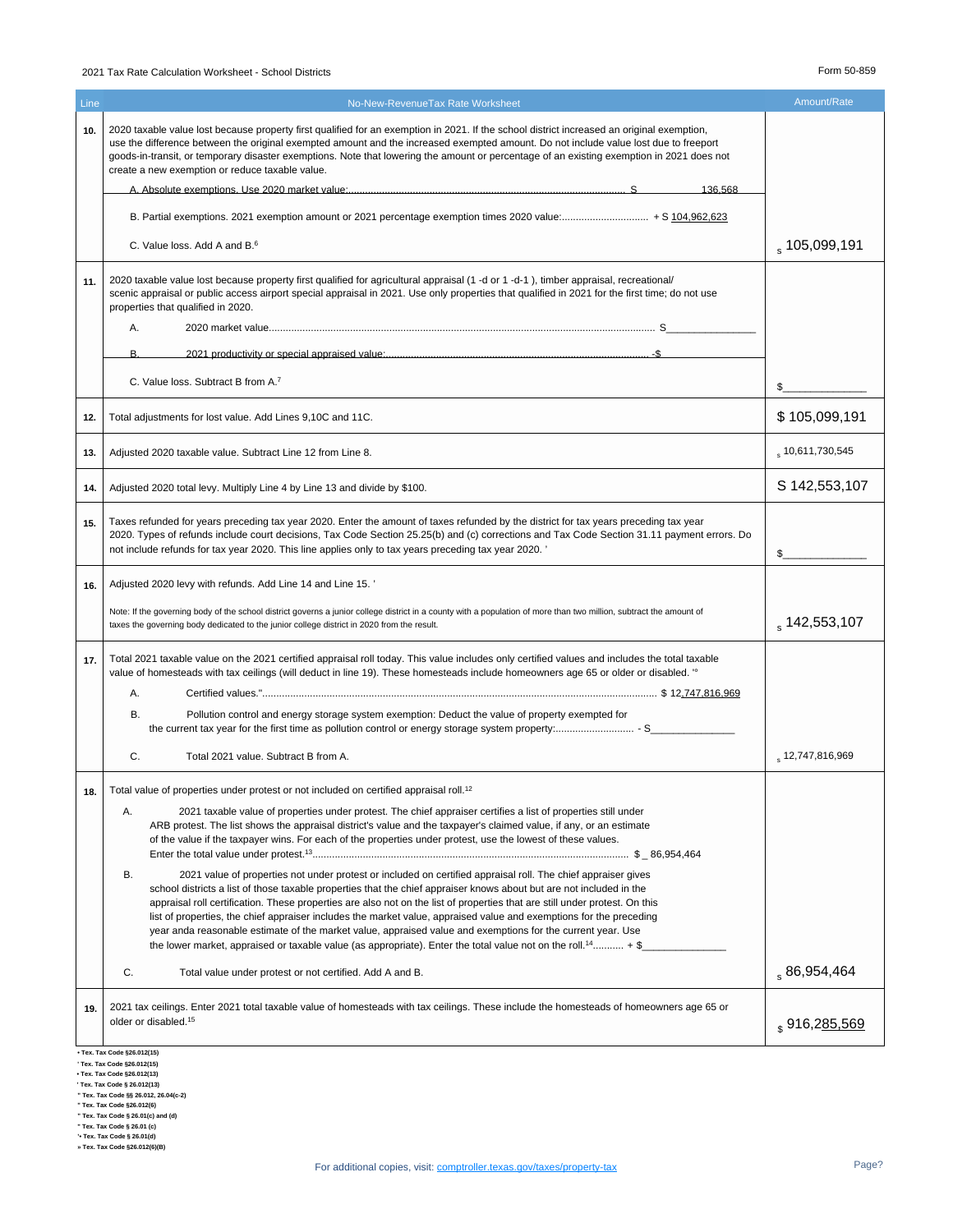### 2021 Tax Rate Calculation Worksheet - School Districts Form 50-859

| Line | No-New-RevenueTax Rate Worksheet                                                                                                                                                                                                                                                                                                                                                                                                                                                                                                                                                                                                                                                                                                              | Amount/Rate               |
|------|-----------------------------------------------------------------------------------------------------------------------------------------------------------------------------------------------------------------------------------------------------------------------------------------------------------------------------------------------------------------------------------------------------------------------------------------------------------------------------------------------------------------------------------------------------------------------------------------------------------------------------------------------------------------------------------------------------------------------------------------------|---------------------------|
| 10.  | 2020 taxable value lost because property first qualified for an exemption in 2021. If the school district increased an original exemption,<br>use the difference between the original exempted amount and the increased exempted amount. Do not include value lost due to freeport<br>goods-in-transit, or temporary disaster exemptions. Note that lowering the amount or percentage of an existing exemption in 2021 does not<br>create a new exemption or reduce taxable value.                                                                                                                                                                                                                                                            |                           |
|      | $S_{\rm}$<br>136 568                                                                                                                                                                                                                                                                                                                                                                                                                                                                                                                                                                                                                                                                                                                          |                           |
|      |                                                                                                                                                                                                                                                                                                                                                                                                                                                                                                                                                                                                                                                                                                                                               |                           |
|      | C. Value loss. Add A and B. <sup>6</sup>                                                                                                                                                                                                                                                                                                                                                                                                                                                                                                                                                                                                                                                                                                      | $_{\rm s}$ 105,099,191    |
| 11.  | 2020 taxable value lost because property first qualified for agricultural appraisal (1 -d or 1 -d-1), timber appraisal, recreational/<br>scenic appraisal or public access airport special appraisal in 2021. Use only properties that qualified in 2021 for the first time; do not use<br>properties that qualified in 2020.                                                                                                                                                                                                                                                                                                                                                                                                                 |                           |
|      | Α.                                                                                                                                                                                                                                                                                                                                                                                                                                                                                                                                                                                                                                                                                                                                            |                           |
|      | R                                                                                                                                                                                                                                                                                                                                                                                                                                                                                                                                                                                                                                                                                                                                             |                           |
|      | C. Value loss. Subtract B from A. <sup>7</sup>                                                                                                                                                                                                                                                                                                                                                                                                                                                                                                                                                                                                                                                                                                | \$                        |
| 12.  | Total adjustments for lost value. Add Lines 9,10C and 11C.                                                                                                                                                                                                                                                                                                                                                                                                                                                                                                                                                                                                                                                                                    | \$105,099,191             |
| 13.  | Adjusted 2020 taxable value. Subtract Line 12 from Line 8.                                                                                                                                                                                                                                                                                                                                                                                                                                                                                                                                                                                                                                                                                    | $_{\rm s}$ 10,611,730,545 |
| 14.  | Adjusted 2020 total levy. Multiply Line 4 by Line 13 and divide by \$100.                                                                                                                                                                                                                                                                                                                                                                                                                                                                                                                                                                                                                                                                     | S 142,553,107             |
| 15.  | Taxes refunded for years preceding tax year 2020. Enter the amount of taxes refunded by the district for tax years preceding tax year<br>2020. Types of refunds include court decisions, Tax Code Section 25.25(b) and (c) corrections and Tax Code Section 31.11 payment errors. Do<br>not include refunds for tax year 2020. This line applies only to tax years preceding tax year 2020.'                                                                                                                                                                                                                                                                                                                                                  | $\mathbb{S}$              |
| 16.  | Adjusted 2020 levy with refunds. Add Line 14 and Line 15.'                                                                                                                                                                                                                                                                                                                                                                                                                                                                                                                                                                                                                                                                                    |                           |
|      | Note: If the governing body of the school district governs a junior college district in a county with a population of more than two million, subtract the amount of<br>taxes the governing body dedicated to the junior college district in 2020 from the result.                                                                                                                                                                                                                                                                                                                                                                                                                                                                             | $_s 142,553,107$          |
| 17.  | Total 2021 taxable value on the 2021 certified appraisal roll today. This value includes only certified values and includes the total taxable<br>value of homesteads with tax ceilings (will deduct in line 19). These homesteads include homeowners age 65 or older or disabled. "<br>А.                                                                                                                                                                                                                                                                                                                                                                                                                                                     |                           |
|      | Pollution control and energy storage system exemption: Deduct the value of property exempted for<br>В.                                                                                                                                                                                                                                                                                                                                                                                                                                                                                                                                                                                                                                        |                           |
|      |                                                                                                                                                                                                                                                                                                                                                                                                                                                                                                                                                                                                                                                                                                                                               |                           |
|      | C.<br>Total 2021 value. Subtract B from A.                                                                                                                                                                                                                                                                                                                                                                                                                                                                                                                                                                                                                                                                                                    | \$12,747,816,969          |
| 18.  | Total value of properties under protest or not included on certified appraisal roll. <sup>12</sup>                                                                                                                                                                                                                                                                                                                                                                                                                                                                                                                                                                                                                                            |                           |
|      | Α.<br>2021 taxable value of properties under protest. The chief appraiser certifies a list of properties still under<br>ARB protest. The list shows the appraisal district's value and the taxpayer's claimed value, if any, or an estimate<br>of the value if the taxpayer wins. For each of the properties under protest, use the lowest of these values.                                                                                                                                                                                                                                                                                                                                                                                   |                           |
|      | 2021 value of properties not under protest or included on certified appraisal roll. The chief appraiser gives<br>В.<br>school districts a list of those taxable properties that the chief appraiser knows about but are not included in the<br>appraisal roll certification. These properties are also not on the list of properties that are still under protest. On this<br>list of properties, the chief appraiser includes the market value, appraised value and exemptions for the preceding<br>year anda reasonable estimate of the market value, appraised value and exemptions for the current year. Use<br>the lower market, appraised or taxable value (as appropriate). Enter the total value not on the roll. <sup>14</sup> + \$_ |                           |
|      | C.<br>Total value under protest or not certified. Add A and B.                                                                                                                                                                                                                                                                                                                                                                                                                                                                                                                                                                                                                                                                                | $Ss$ 86,954,464           |
| 19.  | 2021 tax ceilings. Enter 2021 total taxable value of homesteads with tax ceilings. These include the homesteads of homeowners age 65 or<br>older or disabled. <sup>15</sup>                                                                                                                                                                                                                                                                                                                                                                                                                                                                                                                                                                   | \$916,285,569             |
|      | • Tex. Tax Code §26.012(15)<br>' Tex. Tax Code §26.012(15)<br>• Tex. Tax Code §26.012(13)                                                                                                                                                                                                                                                                                                                                                                                                                                                                                                                                                                                                                                                     |                           |

\* Tex. Tax Code §26.012(13)<br>" Tex. Tax Code § 26.012(13)<br>" Tex. Tax Code §§ 26.012, 26.04(c-2)<br>" Tex. Tax Code §§ 26.012(6)<br>" Tex. Tax Code § 26.01(c) and (d)<br>" Tex. Tax Code § 26.01 (c)<br>" Tex. Tax Code § 26.01(d)<br>" Tex. T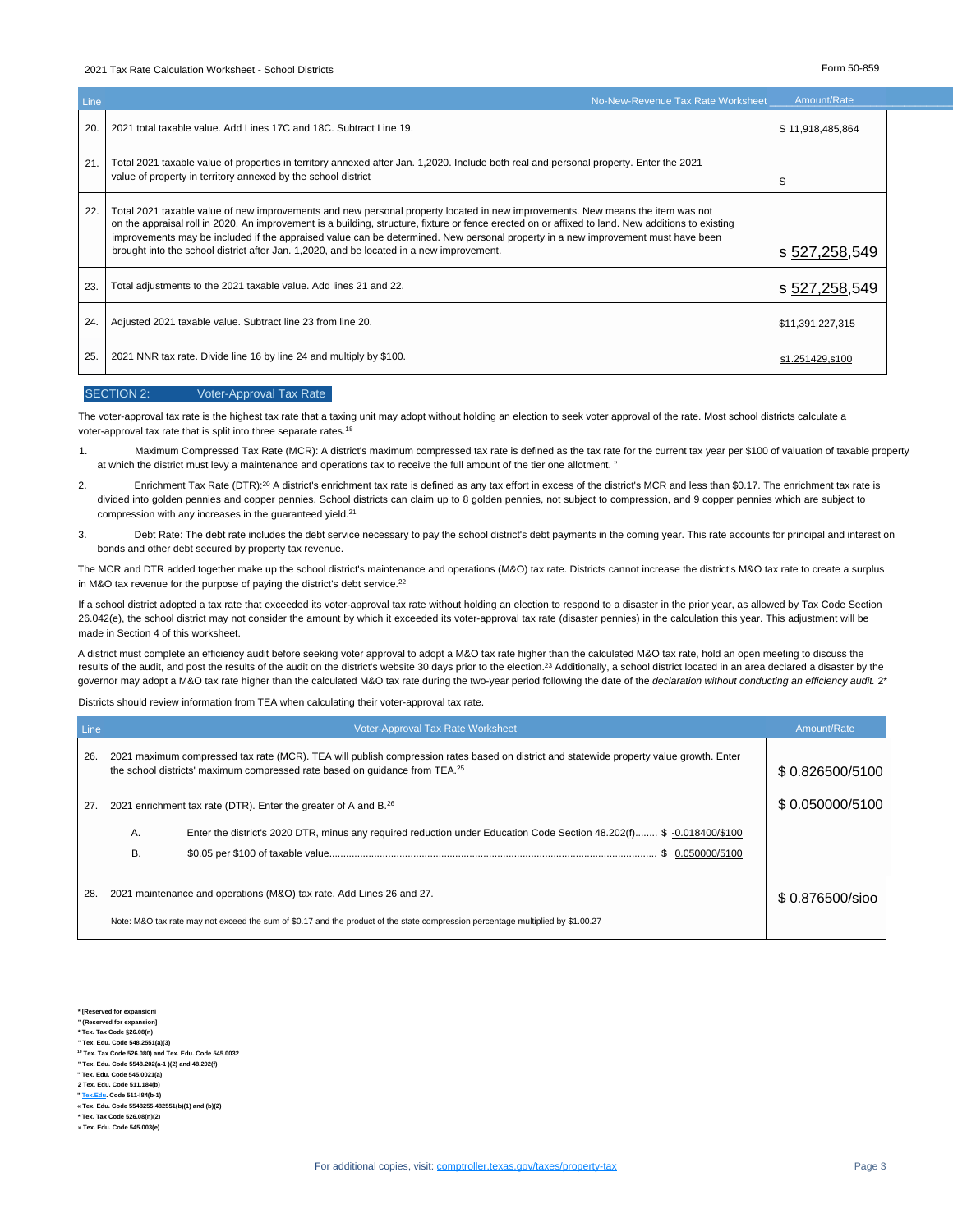#### 2021 Tax Rate Calculation Worksheet - School Districts Form 50-859

| Line | No-New-Revenue Tax Rate Worksheet                                                                                                                                                                                                                                                                                                                                                                                                                                                                                   | Amount/Rate      |  |
|------|---------------------------------------------------------------------------------------------------------------------------------------------------------------------------------------------------------------------------------------------------------------------------------------------------------------------------------------------------------------------------------------------------------------------------------------------------------------------------------------------------------------------|------------------|--|
| 20.  | 2021 total taxable value. Add Lines 17C and 18C. Subtract Line 19.                                                                                                                                                                                                                                                                                                                                                                                                                                                  | S 11,918,485,864 |  |
| 21.  | Total 2021 taxable value of properties in territory annexed after Jan. 1,2020. Include both real and personal property. Enter the 2021<br>value of property in territory annexed by the school district                                                                                                                                                                                                                                                                                                             | S                |  |
| 22.  | Total 2021 taxable value of new improvements and new personal property located in new improvements. New means the item was not<br>on the appraisal roll in 2020. An improvement is a building, structure, fixture or fence erected on or affixed to land. New additions to existing<br>improvements may be included if the appraised value can be determined. New personal property in a new improvement must have been<br>brought into the school district after Jan. 1,2020, and be located in a new improvement. | s 527,258,549    |  |
| 23.  | Total adjustments to the 2021 taxable value. Add lines 21 and 22.                                                                                                                                                                                                                                                                                                                                                                                                                                                   | s 527,258,549    |  |
| 24.  | Adjusted 2021 taxable value. Subtract line 23 from line 20.                                                                                                                                                                                                                                                                                                                                                                                                                                                         | \$11,391,227,315 |  |
| 25.  | 2021 NNR tax rate. Divide line 16 by line 24 and multiply by \$100.                                                                                                                                                                                                                                                                                                                                                                                                                                                 | s1.251429,s100   |  |

#### SECTION 2: Voter-Approval Tax Rate

The voter-approval tax rate is the highest tax rate that a taxing unit may adopt without holding an election to seek voter approval of the rate. Most school districts calculate a voter-approval tax rate that is split into three separate rates.<sup>18</sup>

- 1. Maximum Compressed Tax Rate (MCR): A district's maximum compressed tax rate is defined as the tax rate for the current tax year per \$100 of valuation of taxable property at which the district must levy a maintenance and operations tax to receive the full amount of the tier one allotment. "
- 2. Enrichment Tax Rate (DTR):<sup>20</sup> A district's enrichment tax rate is defined as any tax effort in excess of the district's MCR and less than \$0.17. The enrichment tax rate is divided into golden pennies and copper pennies. School districts can claim up to 8 golden pennies, not subject to compression, and 9 copper pennies which are subject to compression with any increases in the guaranteed yield.<sup>21</sup>
- 3. Debt Rate: The debt rate includes the debt service necessary to pay the school district's debt payments in the coming year. This rate accounts for principal and interest on bonds and other debt secured by property tax revenue.

The MCR and DTR added together make up the school district's maintenance and operations (M&O) tax rate. Districts cannot increase the district's M&O tax rate to create a surplus in M&O tax revenue for the purpose of paying the district's debt service.<sup>22</sup>

If a school district adopted a tax rate that exceeded its voter-approval tax rate without holding an election to respond to a disaster in the prior year, as allowed by Tax Code Section 26.042(e), the school district may not consider the amount by which it exceeded its voter-approval tax rate (disaster pennies) in the calculation this year. This adjustment will be made in Section 4 of this worksheet.

A district must complete an efficiency audit before seeking voter approval to adopt a M&O tax rate higher than the calculated M&O tax rate, hold an open meeting to discuss the results of the audit, and post the results of the audit on the district's website 30 days prior to the election.<sup>23</sup> Additionally, a school district located in an area declared a disaster by the governor may adopt a M&O tax rate higher than the calculated M&O tax rate during the two-year period following the date of the *declaration without conducting an efficiency audit.* 2[\\*](#page-2-0)

Districts should review information from TEA when calculating their voter-approval tax rate.

| Line | <b>Voter-Approval Tax Rate Worksheet</b>                                                                                                                                                                               | Amount/Rate     |
|------|------------------------------------------------------------------------------------------------------------------------------------------------------------------------------------------------------------------------|-----------------|
| 26.  | 2021 maximum compressed tax rate (MCR). TEA will publish compression rates based on district and statewide property value growth. Enter<br>the school districts' maximum compressed rate based on quidance from TEA.25 | \$0.826500/5100 |
| 27.  | 2021 enrichment tax rate (DTR). Enter the greater of A and B. <sup>26</sup>                                                                                                                                            | \$0.050000/5100 |
|      | Enter the district's 2020 DTR, minus any required reduction under Education Code Section 48.202(f) \$ -0.018400/\$100<br>А.<br>В.<br>\$ 0.050000/5100                                                                  |                 |
| 28.  | 2021 maintenance and operations (M&O) tax rate. Add Lines 26 and 27.                                                                                                                                                   | \$0.876500/sioo |
|      | Note: M&O tax rate may not exceed the sum of \$0.17 and the product of the state compression percentage multiplied by \$1.00.27                                                                                        |                 |

**\* [Reserved for expansioni**

- **" (Reserved for expansion]**
- <span id="page-2-0"></span>**\* Tex. Tax Code §26.08(n) " Tex. Edu. Code 548.2551(a)(3)**
- **<sup>10</sup> Tex. Tax Code 526.080) and Tex. Edu. Code 545.0032**
- **" Tex. Edu. Code 5548.202(a-1 )(2) and 48.202(f)**

**" Tex. Edu. Code 545.0021(a)**

**2 Tex. Edu. Code 511.184(b) " <Tex.Edu>. Code 511-I84(b-1)**

**« Tex. Edu. Code 5548255.482551(b)(1) and (b)(2)**

- **\* Tex. Tax Code 526.08(n)(2)**
- **» Tex. Edu. Code 545.003(e)**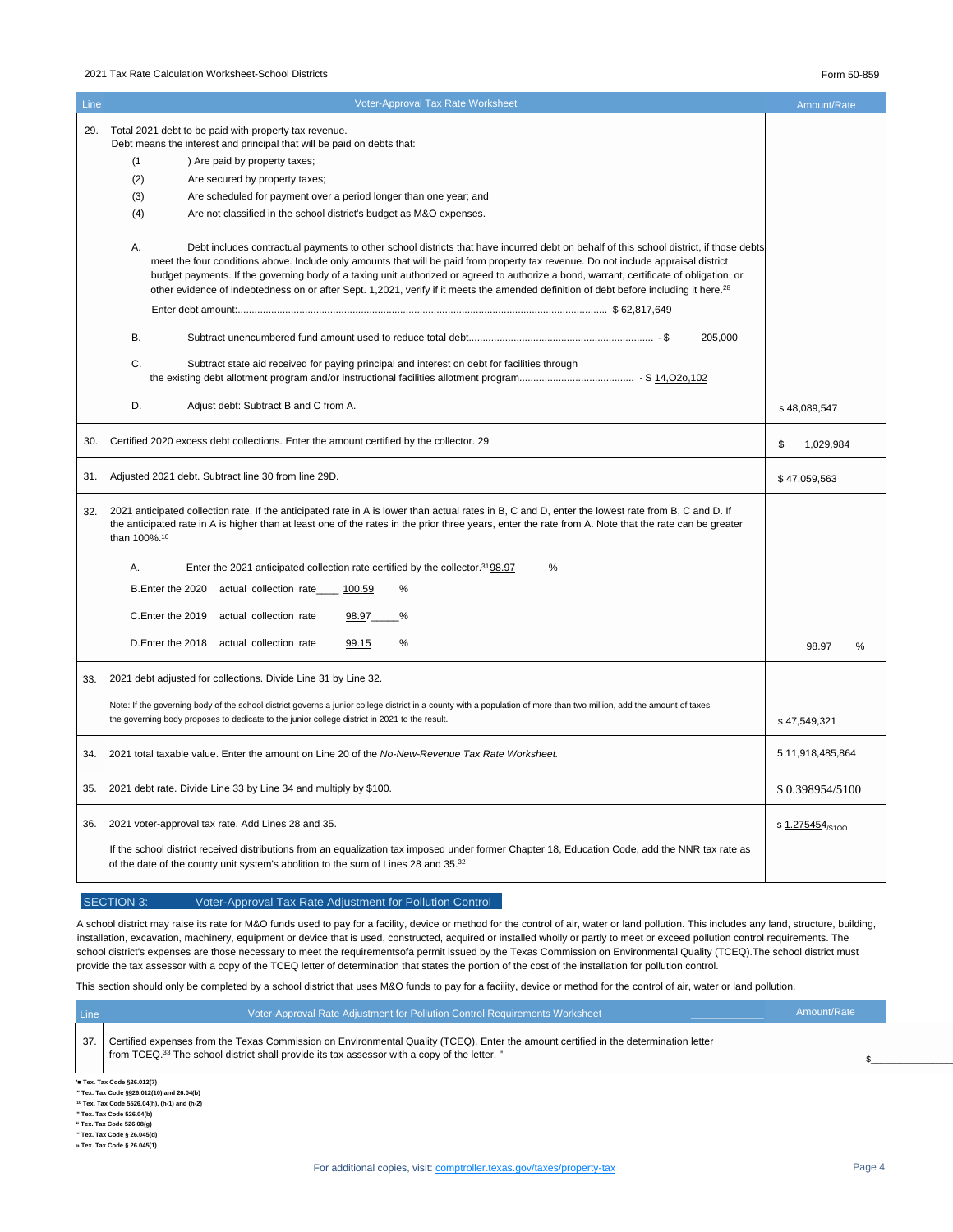#### 2021 Tax Rate Calculation Worksheet-School Districts Form 50-859

| Line | <b>Voter-Approval Tax Rate Worksheet</b>                                                                                                                                                                                                                                                                                                                                                                                                                                                                                                                                              | Amount/Rate      |
|------|---------------------------------------------------------------------------------------------------------------------------------------------------------------------------------------------------------------------------------------------------------------------------------------------------------------------------------------------------------------------------------------------------------------------------------------------------------------------------------------------------------------------------------------------------------------------------------------|------------------|
| 29.  | Total 2021 debt to be paid with property tax revenue.<br>Debt means the interest and principal that will be paid on debts that:                                                                                                                                                                                                                                                                                                                                                                                                                                                       |                  |
|      | ) Are paid by property taxes;<br>(1)                                                                                                                                                                                                                                                                                                                                                                                                                                                                                                                                                  |                  |
|      | (2)<br>Are secured by property taxes;                                                                                                                                                                                                                                                                                                                                                                                                                                                                                                                                                 |                  |
|      | (3)<br>Are scheduled for payment over a period longer than one year; and                                                                                                                                                                                                                                                                                                                                                                                                                                                                                                              |                  |
|      | (4)<br>Are not classified in the school district's budget as M&O expenses.                                                                                                                                                                                                                                                                                                                                                                                                                                                                                                            |                  |
|      |                                                                                                                                                                                                                                                                                                                                                                                                                                                                                                                                                                                       |                  |
|      | A.<br>Debt includes contractual payments to other school districts that have incurred debt on behalf of this school district, if those debts<br>meet the four conditions above. Include only amounts that will be paid from property tax revenue. Do not include appraisal district<br>budget payments. If the governing body of a taxing unit authorized or agreed to authorize a bond, warrant, certificate of obligation, or<br>other evidence of indebtedness on or after Sept. 1,2021, verify if it meets the amended definition of debt before including it here. <sup>28</sup> |                  |
|      |                                                                                                                                                                                                                                                                                                                                                                                                                                                                                                                                                                                       |                  |
|      | <b>B.</b><br>205,000                                                                                                                                                                                                                                                                                                                                                                                                                                                                                                                                                                  |                  |
|      | C.<br>Subtract state aid received for paying principal and interest on debt for facilities through                                                                                                                                                                                                                                                                                                                                                                                                                                                                                    |                  |
|      | D.<br>Adjust debt: Subtract B and C from A.                                                                                                                                                                                                                                                                                                                                                                                                                                                                                                                                           | s 48,089,547     |
| 30   | Certified 2020 excess debt collections. Enter the amount certified by the collector. 29                                                                                                                                                                                                                                                                                                                                                                                                                                                                                               | \$<br>1,029,984  |
| 31.  | Adjusted 2021 debt. Subtract line 30 from line 29D.                                                                                                                                                                                                                                                                                                                                                                                                                                                                                                                                   | \$47,059,563     |
| 32.  | 2021 anticipated collection rate. If the anticipated rate in A is lower than actual rates in B, C and D, enter the lowest rate from B, C and D. If<br>the anticipated rate in A is higher than at least one of the rates in the prior three years, enter the rate from A. Note that the rate can be greater<br>than 100%. <sup>10</sup>                                                                                                                                                                                                                                               |                  |
|      | Α.<br>Enter the 2021 anticipated collection rate certified by the collector. <sup>31</sup> 98.97<br>%                                                                                                                                                                                                                                                                                                                                                                                                                                                                                 |                  |
|      |                                                                                                                                                                                                                                                                                                                                                                                                                                                                                                                                                                                       |                  |
|      | B. Enter the 2020 actual collection rate<br>100.59<br>%                                                                                                                                                                                                                                                                                                                                                                                                                                                                                                                               |                  |
|      | C.Enter the 2019 actual collection rate<br>98.97<br>%                                                                                                                                                                                                                                                                                                                                                                                                                                                                                                                                 |                  |
|      |                                                                                                                                                                                                                                                                                                                                                                                                                                                                                                                                                                                       |                  |
|      | D. Enter the 2018 actual collection rate<br>99.15<br>%                                                                                                                                                                                                                                                                                                                                                                                                                                                                                                                                | 98.97<br>%       |
| 33.  | 2021 debt adjusted for collections. Divide Line 31 by Line 32.                                                                                                                                                                                                                                                                                                                                                                                                                                                                                                                        |                  |
|      | Note: If the governing body of the school district governs a junior college district in a county with a population of more than two million, add the amount of taxes<br>the governing body proposes to dedicate to the junior college district in 2021 to the result.                                                                                                                                                                                                                                                                                                                 | s 47,549,321     |
| 34.  | 2021 total taxable value. Enter the amount on Line 20 of the No-New-Revenue Tax Rate Worksheet.                                                                                                                                                                                                                                                                                                                                                                                                                                                                                       | 5 11,918,485,864 |
| 35.  | 2021 debt rate. Divide Line 33 by Line 34 and multiply by \$100.                                                                                                                                                                                                                                                                                                                                                                                                                                                                                                                      | \$0.398954/5100  |
| 36.  | 2021 voter-approval tax rate. Add Lines 28 and 35.                                                                                                                                                                                                                                                                                                                                                                                                                                                                                                                                    | s 1.275454/s100  |
|      | If the school district received distributions from an equalization tax imposed under former Chapter 18, Education Code, add the NNR tax rate as<br>of the date of the county unit system's abolition to the sum of Lines 28 and 35.32                                                                                                                                                                                                                                                                                                                                                 |                  |

### SECTION 3: Voter-Approval Tax Rate Adjustment for Pollution Control

A school district may raise its rate for M&O funds used to pay for a facility, device or method for the control of air, water or land pollution. This includes any land, structure, building, installation, excavation, machinery, equipment or device that is used, constructed, acquired or installed wholly or partly to meet or exceed pollution control requirements. The school district's expenses are those necessary to meet the requirementsofa permit issued by the Texas Commission on Environmental Quality (TCEQ). The school district must provide the tax assessor with a copy of the TCEQ letter of determination that states the portion of the cost of the installation for pollution control.

This section should only be completed by a school district that uses M&O funds to pay for a facility, device or method for the control of air, water or land pollution.

| Line                                                                                                                | Voter-Approval Rate Adjustment for Pollution Control Requirements Worksheet                                                                                                                                                                      | Amount/Rate |  |  |
|---------------------------------------------------------------------------------------------------------------------|--------------------------------------------------------------------------------------------------------------------------------------------------------------------------------------------------------------------------------------------------|-------------|--|--|
| -37.                                                                                                                | Certified expenses from the Texas Commission on Environmental Quality (TCEQ). Enter the amount certified in the determination letter<br>from TCEQ. <sup>33</sup> The school district shall provide its tax assessor with a copy of the letter. " |             |  |  |
| ' Tex. Tax Code §26.012(7)<br>$\mathbf{u} = \mathbf{u}$ and $\mathbf{u} = \mathbf{u}$ and $\mathbf{u} = \mathbf{u}$ |                                                                                                                                                                                                                                                  |             |  |  |

**" Tex. Tax Code §§26.012(10) and 26.04(b)**

**<sup>10</sup> Tex. Tax Code 5526.04(h), (h-1) and (h-2) " Tex. Tax Code 526.04(b)**

**" Tex. Tax Code 526.08(g)**

**" Tex. Tax Code § 26.045(d)**

**» Tex. Tax Code § 26.045(1)**